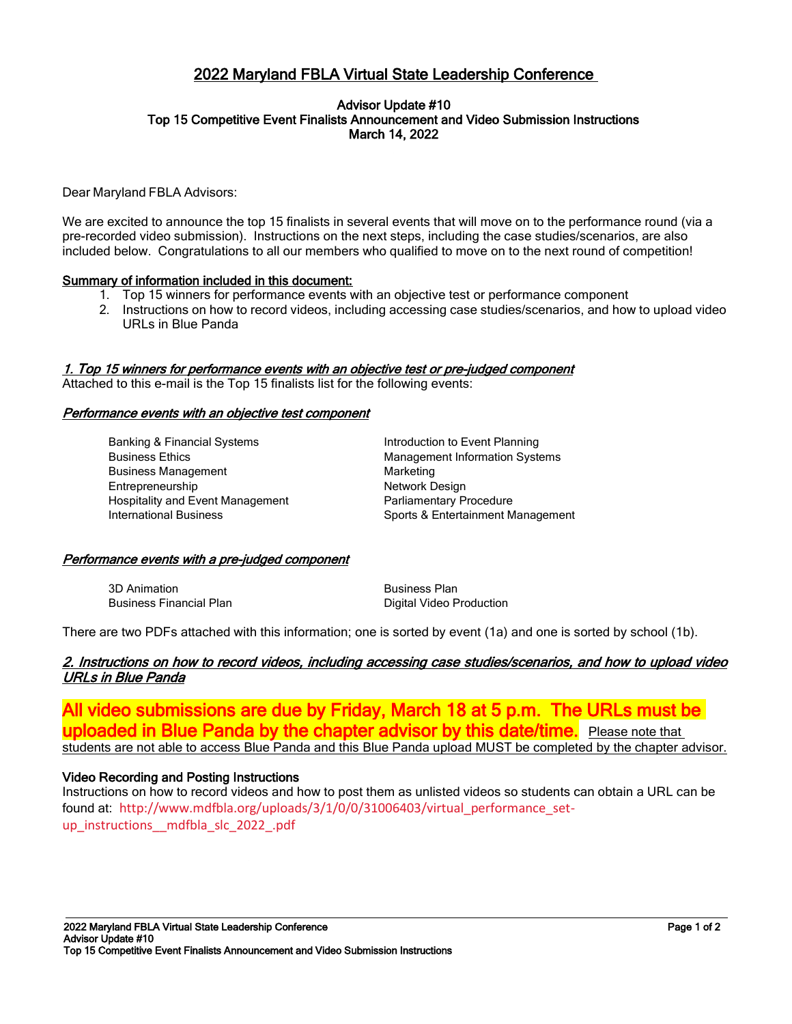# 2022 Maryland FBLA Virtual State Leadership Conference

#### Advisor Update #10 Top 15 Competitive Event Finalists Announcement and Video Submission Instructions March 14, 2022

Dear Maryland FBLA Advisors:

We are excited to announce the top 15 finalists in several events that will move on to the performance round (via a pre-recorded video submission). Instructions on the next steps, including the case studies/scenarios, are also included below. Congratulations to all our members who qualified to move on to the next round of competition!

# Summary of information included in this document:

- 1. Top 15 winners for performance events with an objective test or performance component
- 2. Instructions on how to record videos, including accessing case studies/scenarios, and how to upload video URLs in Blue Panda

# 1. Top 15 winners for performance events with an objective test or pre-judged component

Attached to this e-mail is the Top 15 finalists list for the following events:

#### Performance events with an objective test component

| <b>Banking &amp; Financial Systems</b> | Introduction to Event Planning        |
|----------------------------------------|---------------------------------------|
| <b>Business Ethics</b>                 | <b>Management Information Systems</b> |
| <b>Business Management</b>             | Marketing                             |
| Entrepreneurship                       | Network Design                        |
| Hospitality and Event Management       | Parliamentary Procedure               |
| <b>International Business</b>          | Sports & Entertainment Management     |

#### Performance events with a pre-judged component

| 3D Animation                   | <b>Business Plan</b>            |
|--------------------------------|---------------------------------|
| <b>Business Financial Plan</b> | <b>Digital Video Production</b> |

There are two PDFs attached with this information; one is sorted by event (1a) and one is sorted by school (1b).

# 2. Instructions on how to record videos, including accessing case studies/scenarios, and how to upload video URLs in Blue Panda

All video submissions are due by Friday, March 18 at 5 p.m. The URLs must be **uploaded in Blue Panda by the chapter advisor by this date/time.** Please note that students are not able to access Blue Panda and this Blue Panda upload MUST be completed by the chapter advisor.

# Video Recording and Posting Instructions

l

Instructions on how to record videos and how to post them as unlisted videos so students can obtain a URL can be found at: [http://www.mdfbla.org/uploads/3/1/0/0/31006403/virtual\\_performance\\_set](http://www.mdfbla.org/uploads/3/1/0/0/31006403/virtual_performance_set-up_instructions__mdfbla_slc_2022_.pdf)[up\\_instructions\\_\\_mdfbla\\_slc\\_2022\\_.pdf](http://www.mdfbla.org/uploads/3/1/0/0/31006403/virtual_performance_set-up_instructions__mdfbla_slc_2022_.pdf)